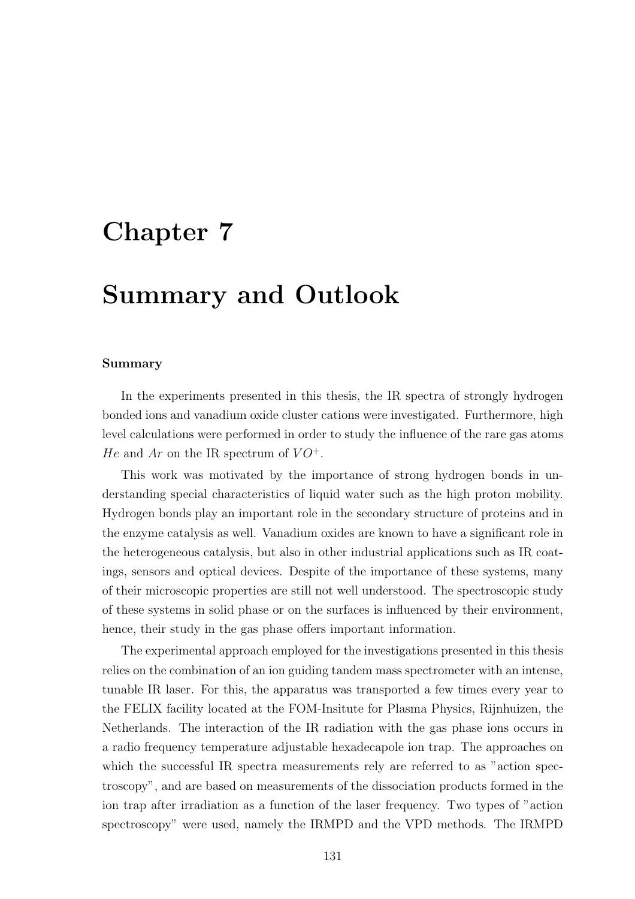## Chapter 7

## Summary and Outlook

## Summary

In the experiments presented in this thesis, the IR spectra of strongly hydrogen bonded ions and vanadium oxide cluster cations were investigated. Furthermore, high level calculations were performed in order to study the influence of the rare gas atoms He and Ar on the IR spectrum of  $VO^+$ .

This work was motivated by the importance of strong hydrogen bonds in understanding special characteristics of liquid water such as the high proton mobility. Hydrogen bonds play an important role in the secondary structure of proteins and in the enzyme catalysis as well. Vanadium oxides are known to have a significant role in the heterogeneous catalysis, but also in other industrial applications such as IR coatings, sensors and optical devices. Despite of the importance of these systems, many of their microscopic properties are still not well understood. The spectroscopic study of these systems in solid phase or on the surfaces is influenced by their environment, hence, their study in the gas phase offers important information.

The experimental approach employed for the investigations presented in this thesis relies on the combination of an ion guiding tandem mass spectrometer with an intense, tunable IR laser. For this, the apparatus was transported a few times every year to the FELIX facility located at the FOM-Insitute for Plasma Physics, Rijnhuizen, the Netherlands. The interaction of the IR radiation with the gas phase ions occurs in a radio frequency temperature adjustable hexadecapole ion trap. The approaches on which the successful IR spectra measurements rely are referred to as "action spectroscopy", and are based on measurements of the dissociation products formed in the ion trap after irradiation as a function of the laser frequency. Two types of "action spectroscopy" were used, namely the IRMPD and the VPD methods. The IRMPD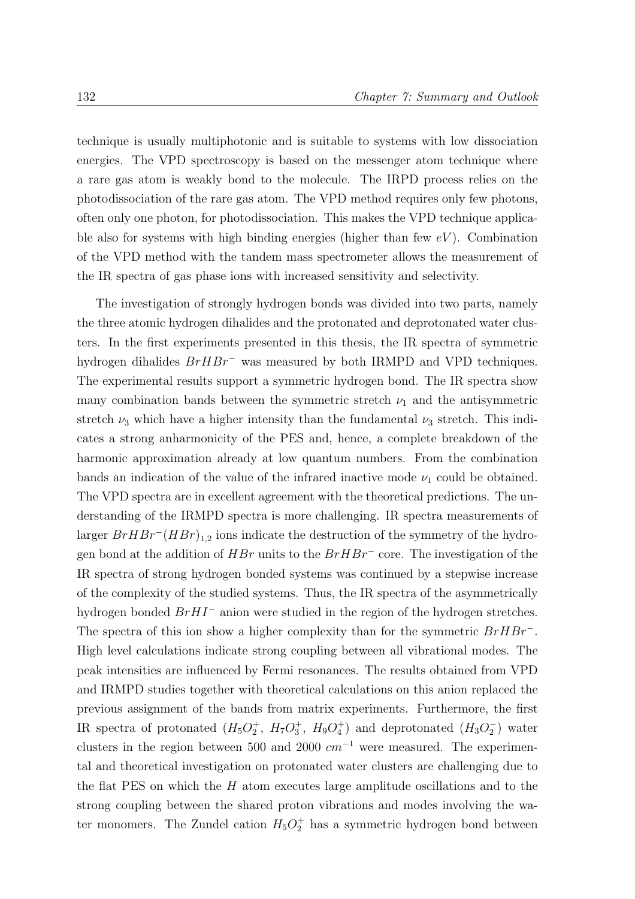technique is usually multiphotonic and is suitable to systems with low dissociation energies. The VPD spectroscopy is based on the messenger atom technique where a rare gas atom is weakly bond to the molecule. The IRPD process relies on the photodissociation of the rare gas atom. The VPD method requires only few photons, often only one photon, for photodissociation. This makes the VPD technique applicable also for systems with high binding energies (higher than few  $eV$ ). Combination of the VPD method with the tandem mass spectrometer allows the measurement of the IR spectra of gas phase ions with increased sensitivity and selectivity.

The investigation of strongly hydrogen bonds was divided into two parts, namely the three atomic hydrogen dihalides and the protonated and deprotonated water clusters. In the first experiments presented in this thesis, the IR spectra of symmetric hydrogen dihalides BrHBr<sup>−</sup> was measured by both IRMPD and VPD techniques. The experimental results support a symmetric hydrogen bond. The IR spectra show many combination bands between the symmetric stretch  $\nu_1$  and the antisymmetric stretch  $\nu_3$  which have a higher intensity than the fundamental  $\nu_3$  stretch. This indicates a strong anharmonicity of the PES and, hence, a complete breakdown of the harmonic approximation already at low quantum numbers. From the combination bands an indication of the value of the infrared inactive mode  $\nu_1$  could be obtained. The VPD spectra are in excellent agreement with the theoretical predictions. The understanding of the IRMPD spectra is more challenging. IR spectra measurements of larger  $Br H Br^{-} (H Br)_{1,2}$  ions indicate the destruction of the symmetry of the hydrogen bond at the addition of  $HBr$  units to the  $Br HBr^-$  core. The investigation of the IR spectra of strong hydrogen bonded systems was continued by a stepwise increase of the complexity of the studied systems. Thus, the IR spectra of the asymmetrically hydrogen bonded BrHI<sup>−</sup> anion were studied in the region of the hydrogen stretches. The spectra of this ion show a higher complexity than for the symmetric BrHBr<sup>−</sup>. High level calculations indicate strong coupling between all vibrational modes. The peak intensities are influenced by Fermi resonances. The results obtained from VPD and IRMPD studies together with theoretical calculations on this anion replaced the previous assignment of the bands from matrix experiments. Furthermore, the first IR spectra of protonated  $(H_5O_2^+, H_7O_3^+, H_9O_4^+)$  and deprotonated  $(H_3O_2^-)$  $_{2}^{-}$ ) water clusters in the region between 500 and 2000  $cm^{-1}$  were measured. The experimental and theoretical investigation on protonated water clusters are challenging due to the flat PES on which the  $H$  atom executes large amplitude oscillations and to the strong coupling between the shared proton vibrations and modes involving the water monomers. The Zundel cation  $H_5O_2^+$  has a symmetric hydrogen bond between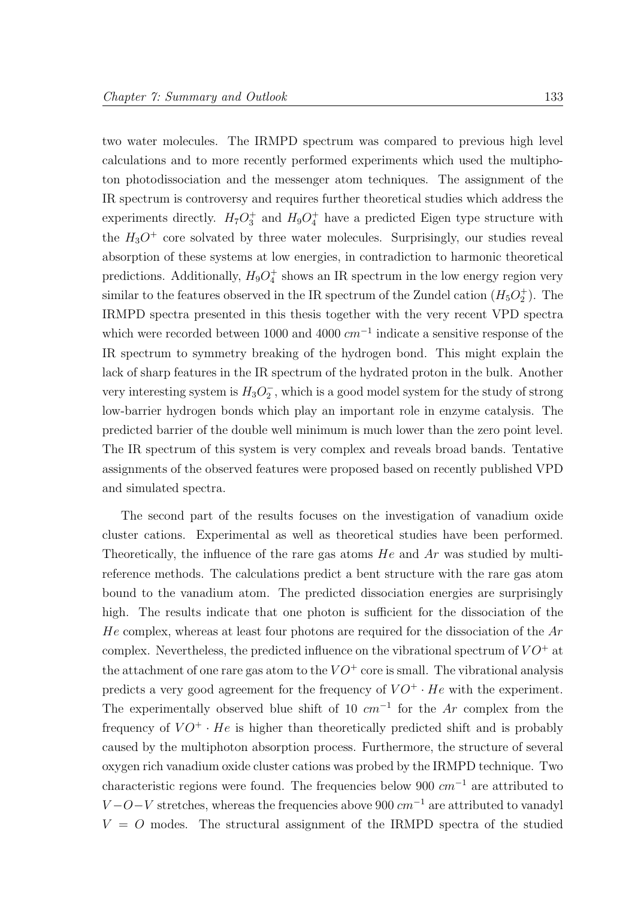two water molecules. The IRMPD spectrum was compared to previous high level calculations and to more recently performed experiments which used the multiphoton photodissociation and the messenger atom techniques. The assignment of the IR spectrum is controversy and requires further theoretical studies which address the experiments directly.  $H_7O_3^+$  and  $H_9O_4^+$  have a predicted Eigen type structure with the  $H_3O^+$  core solvated by three water molecules. Surprisingly, our studies reveal absorption of these systems at low energies, in contradiction to harmonic theoretical predictions. Additionally,  $H_9O_4^+$  shows an IR spectrum in the low energy region very similar to the features observed in the IR spectrum of the Zundel cation  $(H_5O_2^+)$ . The IRMPD spectra presented in this thesis together with the very recent VPD spectra which were recorded between 1000 and 4000  $cm^{-1}$  indicate a sensitive response of the IR spectrum to symmetry breaking of the hydrogen bond. This might explain the lack of sharp features in the IR spectrum of the hydrated proton in the bulk. Another very interesting system is  $H_3O_2^ _2^-$ , which is a good model system for the study of strong low-barrier hydrogen bonds which play an important role in enzyme catalysis. The predicted barrier of the double well minimum is much lower than the zero point level. The IR spectrum of this system is very complex and reveals broad bands. Tentative assignments of the observed features were proposed based on recently published VPD and simulated spectra.

The second part of the results focuses on the investigation of vanadium oxide cluster cations. Experimental as well as theoretical studies have been performed. Theoretically, the influence of the rare gas atoms  $He$  and  $Ar$  was studied by multireference methods. The calculations predict a bent structure with the rare gas atom bound to the vanadium atom. The predicted dissociation energies are surprisingly high. The results indicate that one photon is sufficient for the dissociation of the  $He$  complex, whereas at least four photons are required for the dissociation of the  $Ar$ complex. Nevertheless, the predicted influence on the vibrational spectrum of  $VO^+$  at the attachment of one rare gas atom to the  $VO^+$  core is small. The vibrational analysis predicts a very good agreement for the frequency of  $VO^+ \cdot He$  with the experiment. The experimentally observed blue shift of 10  $cm^{-1}$  for the Ar complex from the frequency of  $VO^+ \cdot He$  is higher than theoretically predicted shift and is probably caused by the multiphoton absorption process. Furthermore, the structure of several oxygen rich vanadium oxide cluster cations was probed by the IRMPD technique. Two characteristic regions were found. The frequencies below 900  $cm^{-1}$  are attributed to  $V-O-V$  stretches, whereas the frequencies above 900  $cm^{-1}$  are attributed to vanadyl  $V = O$  modes. The structural assignment of the IRMPD spectra of the studied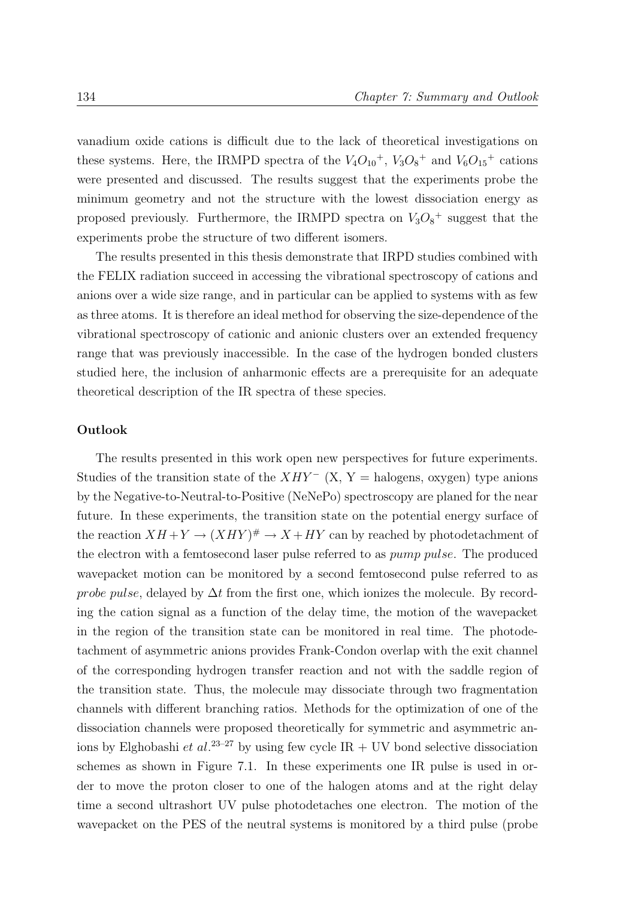vanadium oxide cations is difficult due to the lack of theoretical investigations on these systems. Here, the IRMPD spectra of the  $V_4O_{10}^+$ ,  $V_3O_8^+$  and  $V_6O_{15}^+$  cations were presented and discussed. The results suggest that the experiments probe the minimum geometry and not the structure with the lowest dissociation energy as proposed previously. Furthermore, the IRMPD spectra on  $V_3O_8^{\dagger}$  suggest that the experiments probe the structure of two different isomers.

The results presented in this thesis demonstrate that IRPD studies combined with the FELIX radiation succeed in accessing the vibrational spectroscopy of cations and anions over a wide size range, and in particular can be applied to systems with as few as three atoms. It is therefore an ideal method for observing the size-dependence of the vibrational spectroscopy of cationic and anionic clusters over an extended frequency range that was previously inaccessible. In the case of the hydrogen bonded clusters studied here, the inclusion of anharmonic effects are a prerequisite for an adequate theoretical description of the IR spectra of these species.

## Outlook

The results presented in this work open new perspectives for future experiments. Studies of the transition state of the  $XHY^-$  (X, Y = halogens, oxygen) type anions by the Negative-to-Neutral-to-Positive (NeNePo) spectroscopy are planed for the near future. In these experiments, the transition state on the potential energy surface of the reaction  $XH + Y \to (XHY)^{\#} \to X + HY$  can by reached by photodetachment of the electron with a femtosecond laser pulse referred to as pump pulse. The produced wavepacket motion can be monitored by a second femtosecond pulse referred to as *probe pulse*, delayed by  $\Delta t$  from the first one, which ionizes the molecule. By recording the cation signal as a function of the delay time, the motion of the wavepacket in the region of the transition state can be monitored in real time. The photodetachment of asymmetric anions provides Frank-Condon overlap with the exit channel of the corresponding hydrogen transfer reaction and not with the saddle region of the transition state. Thus, the molecule may dissociate through two fragmentation channels with different branching ratios. Methods for the optimization of one of the dissociation channels were proposed theoretically for symmetric and asymmetric anions by Elghobashi et al.<sup>23–27</sup> by using few cycle IR + UV bond selective dissociation schemes as shown in Figure 7.1. In these experiments one IR pulse is used in order to move the proton closer to one of the halogen atoms and at the right delay time a second ultrashort UV pulse photodetaches one electron. The motion of the wavepacket on the PES of the neutral systems is monitored by a third pulse (probe